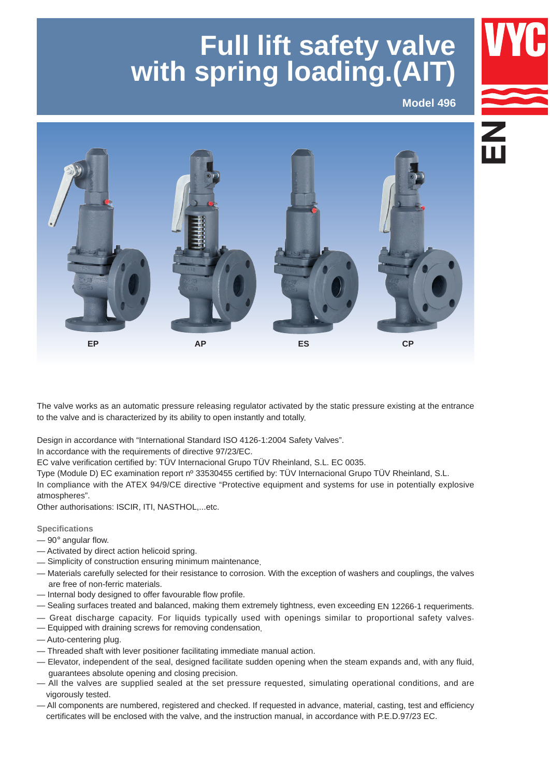# **Full lift safety valve with spring loading.(AIT)**

**Model 496**



The valve works as an automatic pressure releasing regulator activated by the static pressure existing at the entrance to the valve and is characterized by its ability to open instantly and totally.

Design in accordance with "International Standard ISO 4126-1:2004 Safety Valves".

In accordance with the requirements of directive 97/23/EC.

EC valve verification certified by: TÜV Internacional Grupo TÜV Rheinland, S.L. EC 0035. 

Type (Module D) EC examination report nº 33530455 certified by: TÜV Internacional Grupo TÜV Rheinland, S.L. 

In compliance with the ATEX 94/9/CE directive "Protective equipment and systems for use in potentially explosive atmospheres".

Other authorisations: ISCIR, ITI, NASTHOL,...etc.

**Specifications**

- $-90^\circ$  angular flow.
- Activated by direct action helicoid spring.
- Simplicity of construction ensuring minimum maintenance.
- Materials carefully selected for their resistance to corrosion. With the exception of washers and couplings, the valves are free of non-ferric materials.
- Internal body designed to offer favourable flow profile.
- Sealing surfaces treated and balanced, making them extremely tightness, even exceeding EN 12266-1 requeriments.
- Great discharge capacity. For liquids typically used with openings similar to proportional safety valves.
- Equipped with draining screws for removing condensation.
- Auto-centering plug.
- Threaded shaft with lever positioner facilitating immediate manual action.
- Elevator, independent of the seal, designed facilitate sudden opening when the steam expands and, with any fluid, guarantees absolute opening and closing precision.
- All the valves are supplied sealed at the set pressure requested, simulating operational conditions, and are vigorously tested.
- All components are numbered, registered and checked. If requested in advance, material, casting, test and efficiency certificates will be enclosed with the valve, and the instruction manual, in accordance with P.E.D.97/23 EC.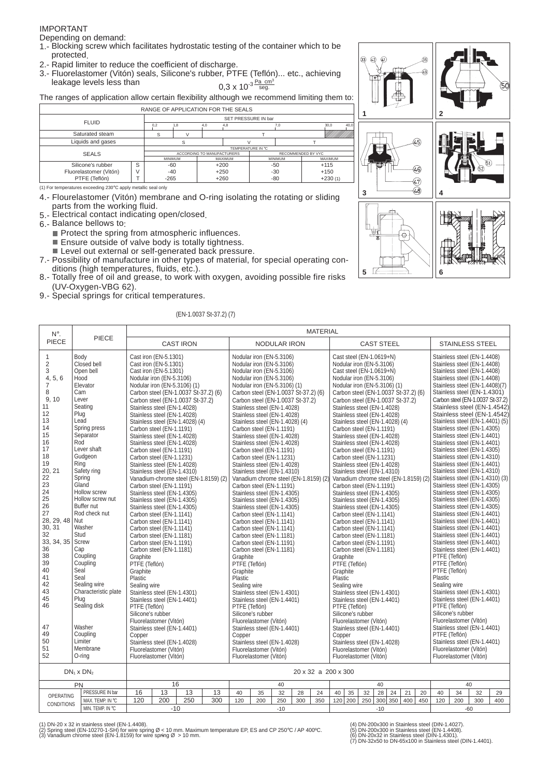#### IMPORTANT

Depending on demand:

- 1.- Blocking screw which facilitates hydrostatic testing of the container which to be protected.
- 2.- Rapid limiter to reduce the coefficient of discharge.
- 3.- Fluorelastomer (Vitón) seals, Silicone's rubber, PTFE (Teflón)... etc., achieving leakage levels less than Pa cm<sup>3</sup><br>seg.

The ranges of application allow certain flexibility although we recommend limiting them to:

|                        |        | RANGE OF APPLICATION FOR THE SEALS |     |                            |                |                     |                    |           |                |      |
|------------------------|--------|------------------------------------|-----|----------------------------|----------------|---------------------|--------------------|-----------|----------------|------|
| <b>FLUID</b>           |        |                                    |     |                            |                | SET PRESSURE IN bar |                    |           |                |      |
|                        |        | 0.2                                | 1,8 | 4.0                        | 4,8            |                     | 7,0                |           | 30.0           | 40.0 |
| Saturated steam        |        | S                                  |     |                            |                |                     |                    |           |                |      |
| Liquids and gases      |        |                                    |     |                            |                |                     |                    |           |                |      |
|                        |        |                                    |     |                            |                | TEMPERATURE IN °C   |                    |           |                |      |
| <b>SEALS</b>           |        |                                    |     | ACCORDING TO MANUFACTURERS |                |                     | RECOMMENDED BY VYC |           |                |      |
|                        |        | <b>MINIMUM</b>                     |     |                            | <b>MAXIMUM</b> |                     | <b>MINIMUM</b>     |           | <b>MAXIMUM</b> |      |
| Silicone's rubber      | S      | $-60$                              |     |                            | $+200$         |                     | -50                |           | $+115$         |      |
| Fluorelastomer (Vitón) | $\vee$ | $-40$                              |     |                            | $+250$         |                     | $-30$              | $+150$    |                |      |
| PTFE (Teflón)          |        | $-265$                             |     | $+260$                     |                |                     | -80                | $+230(1)$ |                |      |

(1) For temperatures exceeding 230°C apply metallic seal only

- 4.- Flourelastomer (Vitón) membrane and O-ring isolating the rotating or sliding parts from the working fluid.
- 5.- Electrical contact indicating open/closed.

6.- Balance bellows to:

- $\blacksquare$  Protect the spring from atmospheric influences.  $\blacksquare$  Ensure outside of valve body is totally tightness.
- Level out external or self-generated back pressure.
- 7.- Possibility of manufacture in other types of material, for special operating conditions (high temperatures, fluids, etc.).
- 8.- Totally free of oil and grease, to work with oxygen, avoiding possible fire risks (UV-Oxygen-VBG 62).
- 9.- Special springs for critical temperatures.

#### (EN-1.0037 St-37.2) (7)



| N°.                                                                                                                                                                                                                                                                           |                                                                                                                                                                                                                                                                                                                                                                                                                      | <b>MATERIAL</b>                                                                   |                                                                                                                                                                                                                                                                                                                                                                                                                                                                                                                                                                                                                                                                                                                                                                                  |                                                                                                             |                                       |                                                                                                                                                                                                                                                                                                                                                    |                                                                                                                                                                                                                                                                                                                                                                                                                                                                                                                                                                                                                                                                                                                                                                                                                                                                                                                                                   |                     |     |     |                                 |                                                                                                                                                                                |                                                                                                                                                                                                                                                                                                                                                                                                                                                                                                                                                                                                                                                                                                                                                                                                                                                                                                                                                   |     |     |     |                         |                                                                  |                                                                                                                                                                                                                                                                                                                                                                                                                                                                                                                                                                                                                                                                                                                                                                                                        |                                                                                                                                                                      |
|-------------------------------------------------------------------------------------------------------------------------------------------------------------------------------------------------------------------------------------------------------------------------------|----------------------------------------------------------------------------------------------------------------------------------------------------------------------------------------------------------------------------------------------------------------------------------------------------------------------------------------------------------------------------------------------------------------------|-----------------------------------------------------------------------------------|----------------------------------------------------------------------------------------------------------------------------------------------------------------------------------------------------------------------------------------------------------------------------------------------------------------------------------------------------------------------------------------------------------------------------------------------------------------------------------------------------------------------------------------------------------------------------------------------------------------------------------------------------------------------------------------------------------------------------------------------------------------------------------|-------------------------------------------------------------------------------------------------------------|---------------------------------------|----------------------------------------------------------------------------------------------------------------------------------------------------------------------------------------------------------------------------------------------------------------------------------------------------------------------------------------------------|---------------------------------------------------------------------------------------------------------------------------------------------------------------------------------------------------------------------------------------------------------------------------------------------------------------------------------------------------------------------------------------------------------------------------------------------------------------------------------------------------------------------------------------------------------------------------------------------------------------------------------------------------------------------------------------------------------------------------------------------------------------------------------------------------------------------------------------------------------------------------------------------------------------------------------------------------|---------------------|-----|-----|---------------------------------|--------------------------------------------------------------------------------------------------------------------------------------------------------------------------------|---------------------------------------------------------------------------------------------------------------------------------------------------------------------------------------------------------------------------------------------------------------------------------------------------------------------------------------------------------------------------------------------------------------------------------------------------------------------------------------------------------------------------------------------------------------------------------------------------------------------------------------------------------------------------------------------------------------------------------------------------------------------------------------------------------------------------------------------------------------------------------------------------------------------------------------------------|-----|-----|-----|-------------------------|------------------------------------------------------------------|--------------------------------------------------------------------------------------------------------------------------------------------------------------------------------------------------------------------------------------------------------------------------------------------------------------------------------------------------------------------------------------------------------------------------------------------------------------------------------------------------------------------------------------------------------------------------------------------------------------------------------------------------------------------------------------------------------------------------------------------------------------------------------------------------------|----------------------------------------------------------------------------------------------------------------------------------------------------------------------|
| PIECE                                                                                                                                                                                                                                                                         | PIECE                                                                                                                                                                                                                                                                                                                                                                                                                |                                                                                   |                                                                                                                                                                                                                                                                                                                                                                                                                                                                                                                                                                                                                                                                                                                                                                                  | <b>CAST IRON</b>                                                                                            |                                       |                                                                                                                                                                                                                                                                                                                                                    |                                                                                                                                                                                                                                                                                                                                                                                                                                                                                                                                                                                                                                                                                                                                                                                                                                                                                                                                                   | <b>NODULAR IRON</b> |     |     |                                 |                                                                                                                                                                                | <b>CAST STEEL</b>                                                                                                                                                                                                                                                                                                                                                                                                                                                                                                                                                                                                                                                                                                                                                                                                                                                                                                                                 |     |     |     |                         |                                                                  | <b>STAINLESS STEEL</b>                                                                                                                                                                                                                                                                                                                                                                                                                                                                                                                                                                                                                                                                                                                                                                                 |                                                                                                                                                                      |
| 1<br>$\overline{2}$<br>3<br>4, 5, 6<br>$\overline{7}$<br>8<br>9, 10<br>11<br>12<br>13<br>14<br>15<br>16<br>17<br>18<br>19<br>20, 21<br>22<br>23<br>24<br>25<br>26<br>27<br>28, 29, 48 Nut<br>30, 31<br>32<br>33, 34, 35<br>36<br>38<br>39<br>40<br>41<br>42<br>43<br>45<br>46 | Body<br>Closed bell<br>Open bell<br>Hood<br>Elevator<br>Cam<br>Lever<br>Seating<br>Plug<br>Lead<br>Spring press<br>Separator<br>Rod<br>Lever shaft<br>Gudgeon<br>Ring<br>Safety ring<br>Spring<br>Gland<br>Hollow screw<br>Hollow screw nut<br>Buffer nut<br>Rod check nut<br>Washer<br>Stud<br>Screw<br>Cap<br>Coupling<br>Coupling<br>Seal<br>Seal<br>Sealing wire<br>Characteristic plate<br>Plug<br>Sealing disk | Graphite<br>PTFE (Teflón)<br>Graphite<br>Plastic<br>Sealing wire<br>PTFE (Teflón) | Cast iron (EN-5.1301)<br>Cast iron (EN-5.1301)<br>Cast iron (EN-5.1301)<br>Nodular iron (EN-5.3106)<br>Nodular iron (EN-5.3106) (1)<br>Stainless steel (EN-1.4028)<br>Stainless steel (EN-1.4028)<br>Carbon steel (EN-1.1191)<br>Stainless steel (EN-1.4028)<br>Stainless steel (EN-1.4028)<br>Carbon steel (EN-1.1191)<br>Carbon steel (EN-1.1231)<br>Stainless steel (EN-1.4028)<br>Stainless steel (EN-1.4310)<br>Carbon steel (EN-1.1191)<br>Stainless steel (EN-1.4305)<br>Stainless steel (EN-1.4305)<br>Stainless steel (EN-1.4305)<br>Carbon steel (EN-1.1141)<br>Carbon steel (EN-1.1141)<br>Carbon steel (EN-1.1141)<br>Carbon steel (EN-1.1181)<br>Carbon steel (EN-1.1191)<br>Carbon steel (EN-1.1181)<br>Stainless steel (EN-1.4301)<br>Stainless steel (EN-1.4401) | Carbon steel (EN-1.0037 St-37.2) (6)<br>Carbon steel (EN-1.0037 St-37.2)<br>Stainless steel (EN-1.4028) (4) | Vanadium-chrome steel (EN-1.8159) (2) | Graphite<br>PTFE (Teflón)<br>Graphite<br>Plastic<br>Sealing wire<br>PTFE (Teflón)                                                                                                                                                                                                                                                                  | Nodular iron (EN-5.3106)<br>Nodular iron (EN-5.3106)<br>Nodular iron (EN-5.3106)<br>Nodular iron (EN-5.3106)<br>Nodular iron (EN-5.3106) (1)<br>Carbon steel (EN-1.0037 St-37.2) (6)<br>Carbon steel (EN-1.0037 St-37.2)<br>Stainless steel (EN-1.4028)<br>Stainless steel (EN-1.4028)<br>Stainless steel (EN-1.4028) (4)<br>Carbon steel (EN-1.1191)<br>Stainless steel (EN-1.4028)<br>Stainless steel (EN-1.4028)<br>Carbon steel (EN-1.1191)<br>Carbon steel (EN-1.1231)<br>Stainless steel (EN-1.4028)<br>Stainless steel (EN-1.4310)<br>Vanadium chrome steel (EN-1.8159) (2)<br>Carbon steel (EN-1.1191)<br>Stainless steel (EN-1.4305)<br>Stainless steel (EN-1.4305)<br>Stainless steel (EN-1.4305)<br>Carbon steel (EN-1.1141)<br>Carbon steel (EN-1.1141)<br>Carbon steel (EN-1.1141)<br>Carbon steel (EN-1.1181)<br>Carbon steel (EN-1.1191)<br>Carbon steel (EN-1.1181)<br>Stainless steel (EN-1.4301)<br>Stainless steel (EN-1.4401) |                     |     |     | Graphite<br>Graphite<br>Plastic | PTFE (Teflón)<br>Sealing wire<br>PTFE (Teflón)                                                                                                                                 | Cast steel (EN-1.0619+N)<br>Nodular iron (EN-5.3106)<br>Cast steel (EN-1.0619+N)<br>Nodular iron (EN-5.3106)<br>Nodular iron (EN-5.3106) (1)<br>Carbon steel (EN-1.0037 St-37.2) (6)<br>Carbon steel (EN-1.0037 St-37.2)<br>Stainless steel (EN-1.4028)<br>Stainless steel (EN-1.4028)<br>Stainless steel (EN-1.4028) (4)<br>Carbon steel (EN-1.1191)<br>Stainless steel (EN-1.4028)<br>Stainless steel (EN-1.4028)<br>Carbon steel (EN-1.1191)<br>Carbon steel (EN-1.1231)<br>Stainless steel (EN-1.4028)<br>Stainless steel (EN-1.4310)<br>Vanadium chrome steel (EN-1.8159) (2)<br>Carbon steel (EN-1.1191)<br>Stainless steel (EN-1.4305)<br>Stainless steel (EN-1.4305)<br>Stainless steel (EN-1.4305)<br>Carbon steel (EN-1.1141)<br>Carbon steel (EN-1.1141)<br>Carbon steel (EN-1.1141)<br>Carbon steel (EN-1.1181)<br>Carbon steel (EN-1.1191)<br>Carbon steel (EN-1.1181)<br>Stainless steel (EN-1.4301)<br>Stainless steel (EN-1.4401) |     |     |     | Plastic<br>Sealing wire | PTFE (Teflón)<br>PTFE (Teflón)<br>PTFE (Teflón)<br>PTFE (Teflón) | Stainless steel (EN-1.4408)<br>Stainless steel (EN-1.4408)<br>Stainless steel (EN-1.4408)<br>Stainless steel (EN-1.4408)<br>Stainless steel (EN-1.4408)(7)<br>Stainless steel (EN-1.4301)<br>Stainless steel (EN-1.4305)<br>Stainless steel (EN-1.4401)<br>Stainless steel (EN-1.4401)<br>Stainless steel (EN-1.4305)<br>Stainless steel (EN-1.4310)<br>Stainless steel (EN-1.4401)<br>Stainless steel (EN-1.4310)<br>Stainless steel (EN-1.4305)<br>Stainless steel (EN-1.4305)<br>Stainless steel (EN-1.4305)<br>Stainless steel (EN-1.4305)<br>Stainless steel (EN-1.4401)<br>Stainless steel (EN-1.4401)<br>Stainless steel (EN-1.4401)<br>Stainless steel (EN-1.4401)<br>Stainless steel (EN-1.4401)<br>Stainless steel (EN-1.4401)<br>Stainless steel (EN-1.4301)<br>Stainless steel (EN-1.4401) | Carbon steel (EN-1.0037 St-37.2)<br>Stainless steel (EN-1.4542)<br>Stainless steel (EN-1.4542)<br>Stainless steel (EN-1.4401) (5)<br>Stainless steel (EN-1.4310) (3) |
| 47<br>49<br>50<br>51<br>52                                                                                                                                                                                                                                                    | Silicone's rubber<br>Fluorelastomer (Vitón)<br>Washer<br>Stainless steel (EN-1.4401)<br>Coupling<br>Copper<br>Limiter<br>Stainless steel (EN-1.4028)<br>Membrane<br>Fluorelastomer (Vitón)<br>O-rina<br>Fluorelastomer (Vitón)                                                                                                                                                                                       |                                                                                   |                                                                                                                                                                                                                                                                                                                                                                                                                                                                                                                                                                                                                                                                                                                                                                                  |                                                                                                             |                                       | Silicone's rubber<br>Silicone's rubber<br>Fluorelastomer (Vitón)<br>Fluorelastomer (Vitón)<br>Stainless steel (EN-1.4401)<br>Stainless steel (EN-1.4401)<br>Copper<br>Copper<br>Stainless steel (EN-1.4028)<br>Stainless steel (EN-1.4028)<br>Fluorelastomer (Vitón)<br>Fluorelastomer (Vitón)<br>Fluorelastomer (Vitón)<br>Fluorelastomer (Vitón) |                                                                                                                                                                                                                                                                                                                                                                                                                                                                                                                                                                                                                                                                                                                                                                                                                                                                                                                                                   |                     |     |     |                                 | Silicone's rubber<br>Fluorelastomer (Vitón)<br>Stainless steel (EN-1.4401)<br>PTFE (Teflón)<br>Stainless steel (EN-1.4401)<br>Fluorelastomer (Vitón)<br>Fluorelastomer (Vitón) |                                                                                                                                                                                                                                                                                                                                                                                                                                                                                                                                                                                                                                                                                                                                                                                                                                                                                                                                                   |     |     |     |                         |                                                                  |                                                                                                                                                                                                                                                                                                                                                                                                                                                                                                                                                                                                                                                                                                                                                                                                        |                                                                                                                                                                      |
|                                                                                                                                                                                                                                                                               | $DN_1 \times DN_2$                                                                                                                                                                                                                                                                                                                                                                                                   | 20 x 32 a 200 x 300                                                               |                                                                                                                                                                                                                                                                                                                                                                                                                                                                                                                                                                                                                                                                                                                                                                                  |                                                                                                             |                                       |                                                                                                                                                                                                                                                                                                                                                    |                                                                                                                                                                                                                                                                                                                                                                                                                                                                                                                                                                                                                                                                                                                                                                                                                                                                                                                                                   |                     |     |     |                                 |                                                                                                                                                                                |                                                                                                                                                                                                                                                                                                                                                                                                                                                                                                                                                                                                                                                                                                                                                                                                                                                                                                                                                   |     |     |     |                         |                                                                  |                                                                                                                                                                                                                                                                                                                                                                                                                                                                                                                                                                                                                                                                                                                                                                                                        |                                                                                                                                                                      |
|                                                                                                                                                                                                                                                                               | PN                                                                                                                                                                                                                                                                                                                                                                                                                   |                                                                                   | 16                                                                                                                                                                                                                                                                                                                                                                                                                                                                                                                                                                                                                                                                                                                                                                               |                                                                                                             | 40                                    |                                                                                                                                                                                                                                                                                                                                                    |                                                                                                                                                                                                                                                                                                                                                                                                                                                                                                                                                                                                                                                                                                                                                                                                                                                                                                                                                   |                     |     |     |                                 | 40                                                                                                                                                                             |                                                                                                                                                                                                                                                                                                                                                                                                                                                                                                                                                                                                                                                                                                                                                                                                                                                                                                                                                   |     |     |     |                         | 40                                                               |                                                                                                                                                                                                                                                                                                                                                                                                                                                                                                                                                                                                                                                                                                                                                                                                        |                                                                                                                                                                      |
|                                                                                                                                                                                                                                                                               | 13<br>16<br>13<br>PRESSURE IN bar                                                                                                                                                                                                                                                                                                                                                                                    |                                                                                   |                                                                                                                                                                                                                                                                                                                                                                                                                                                                                                                                                                                                                                                                                                                                                                                  |                                                                                                             | 13                                    | 40                                                                                                                                                                                                                                                                                                                                                 | 35                                                                                                                                                                                                                                                                                                                                                                                                                                                                                                                                                                                                                                                                                                                                                                                                                                                                                                                                                | 32                  | 28  | 24  | 40                              | 35                                                                                                                                                                             | 32<br>28                                                                                                                                                                                                                                                                                                                                                                                                                                                                                                                                                                                                                                                                                                                                                                                                                                                                                                                                          | 24  | 21  | 20  | 40                      | 34                                                               | 32                                                                                                                                                                                                                                                                                                                                                                                                                                                                                                                                                                                                                                                                                                                                                                                                     | 29                                                                                                                                                                   |
| <b>OPERATING</b>                                                                                                                                                                                                                                                              | 200<br>250<br>120<br>300<br>MAX. TEMP. IN °C<br>120                                                                                                                                                                                                                                                                                                                                                                  |                                                                                   |                                                                                                                                                                                                                                                                                                                                                                                                                                                                                                                                                                                                                                                                                                                                                                                  |                                                                                                             | 200                                   | 250                                                                                                                                                                                                                                                                                                                                                | 300                                                                                                                                                                                                                                                                                                                                                                                                                                                                                                                                                                                                                                                                                                                                                                                                                                                                                                                                               | 350                 | 120 | 200 | 250                             | 300 350                                                                                                                                                                        | 400                                                                                                                                                                                                                                                                                                                                                                                                                                                                                                                                                                                                                                                                                                                                                                                                                                                                                                                                               | 450 | 120 | 200 | 300                     | 400                                                              |                                                                                                                                                                                                                                                                                                                                                                                                                                                                                                                                                                                                                                                                                                                                                                                                        |                                                                                                                                                                      |
| <b>CONDITIONS</b>                                                                                                                                                                                                                                                             |                                                                                                                                                                                                                                                                                                                                                                                                                      |                                                                                   |                                                                                                                                                                                                                                                                                                                                                                                                                                                                                                                                                                                                                                                                                                                                                                                  |                                                                                                             |                                       |                                                                                                                                                                                                                                                                                                                                                    |                                                                                                                                                                                                                                                                                                                                                                                                                                                                                                                                                                                                                                                                                                                                                                                                                                                                                                                                                   |                     |     |     |                                 |                                                                                                                                                                                |                                                                                                                                                                                                                                                                                                                                                                                                                                                                                                                                                                                                                                                                                                                                                                                                                                                                                                                                                   |     |     |     |                         |                                                                  |                                                                                                                                                                                                                                                                                                                                                                                                                                                                                                                                                                                                                                                                                                                                                                                                        |                                                                                                                                                                      |

 $-10$ 

MIN TEMP IN °C.

(1) DN-20 x 32 in stainless steel (EN-1.4408).<br>(2) Spring steel (EN-10270-1-SH) for wire spring Ø < 10 mm. Maximum temperature EP, ES and CP 250°C / AP 400°C.<br>(3) Vanadium chrome steel (EN-1.8159) for wire spring Ø > 10

 $-10$ 

 $-10$ 

(4) DN-200x300 in Stainless steel (DIN-1.4027). (5) DN-200x300 in Stainless steel (EN-1.4408). (6) DN-20x32 in Stainless steel (DIN-1.4301). (7) DN-32x50 to DN-65x100 in Stainless steel (DIN-1.4401).

 $-60$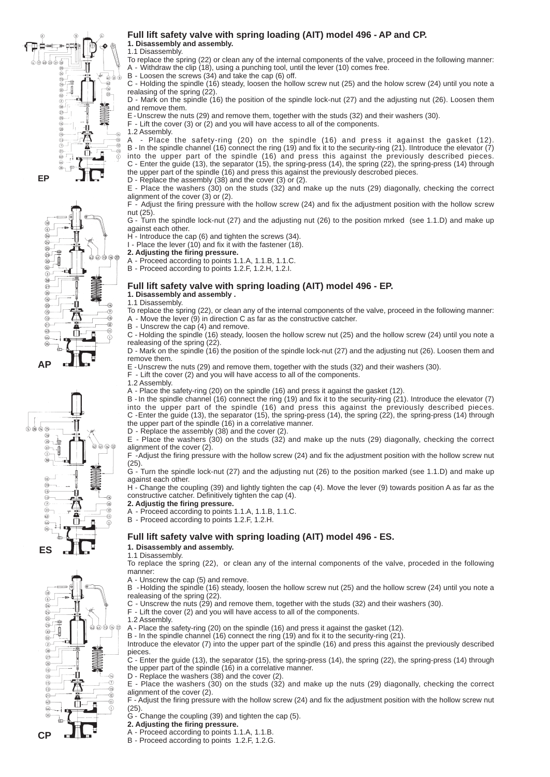

ᅹ

ā

Ф.

440000

 $\widehat{\mathcal{C}}$ 

 $\widehat{\tau}$ 

 $-69$ 

 $\circledR$ 

Õ

φ

**ANAMAL** 

#### **Full lift safety valve with spring loading (AIT) model 496 - AP and CP. 1. Disassembly and assembly.** 1.1 Disassembly.

To replace the spring (22) or clean any of the internal components of the valve, proceed in the following manner: A - Withdraw the clip (18), using a punching tool, until the lever (10) comes free. 

B - Loosen the screws (34) and take the cap (6) off.

C - Holding the spindle (16) steady, loosen the hollow screw nut (25) and the holow screw (24) until you note a realasing of the spring (22).

D - Mark on the spindle (16) the position of the spindle lock-nut (27) and the adjusting nut (26). Loosen them and remove them.

E - Unscrew the nuts (29) and remove them, together with the studs (32) and their washers (30). 

 $F$  - Lift the cover (3) or (2) and you will have access to all of the components.

1.2 Assembly.<br>A - Place

Place the safety-ring (20) on the spindle (16) and press it against the gasket (12). B - In the spindle channel (16) connect the ring (19) and fix it to the security-ring (21). IIntroduce the elevator (7) into the upper part of the spindle (16) and press this against the previously described pieces. C - Enter the guide (13), the separator (15), the spring-press (14), the spring (22), the spring-press (14) through the upper part of the spindle (16) and press this against the previously descrobed pieces. D - Replace the assembly (38) and the cover (3) or (2).

E - Place the washers (30) on the studs (32) and make up the nuts (29) diagonally, checking the correct alignment of the cover (3) or (2).

F - Adjust the firing pressure with the hollow screw (24) and fix the adjustment position with the hollow screw nut (25).

G - Turn the spindle lock-nut (27) and the adjusting nut (26) to the position mrked (see 1.1.D) and make up against each other.

H - Introduce the cap (6) and tighten the screws (34).

- I Place the lever (10) and fix it with the fastener (18).
- **2. Adjusting the firing pressure.**
- A Proceed according to points 1.1.A, 1.1.B, 1.1.C.
- B Proceed according to points 1.2.F, 1.2.H, 1.2.I.

#### **Full lift safety valve with spring loading (AIT) model 496 - EP. 1. Disassembly and assembly .**

1.1 Disassembly.

To replace the spring (22), or clean any of the internal components of the valve, proceed in the following manner: A - Move the lever (9) in direction C as far as the constructive catcher.

B - Unscrew the cap (4) and remove.

C - Holding the spindle (16) steady, loosen the hollow screw nut (25) and the hollow screw (24) until you note a realeasing of the spring (22).

D - Mark on the spindle (16) the position of the spindle lock-nut (27) and the adjusting nut (26). Loosen them and remove them.

E - Unscrew the nuts (29) and remove them, together with the studs (32) and their washers (30). 

F - Lift the cover (2) and you will have access to all of the components.

1.2 Assembly.

A - Place the safety-ring (20) on the spindle (16) and press it against the gasket (12). 

B - In the spindle channel (16) connect the ring (19) and fix it to the security-ring (21). Introduce the elevator (7) into the upper part of the spindle (16) and press this against the previously described pieces. C - Enter the guide (13), the separator (15), the spring-press (14), the spring (22), the spring-press (14) through the upper part of the spindle (16) in a correlative manner.

D - Replace the assembly (38) and the cover (2).

E - Place the washers (30) on the studs (32) and make up the nuts (29) diagonally, checking the correct alignment of the cover (2).

F - Adjust the firing pressure with the hollow screw (24) and fix the adjustment position with the hollow screw nut (25).

G - Turn the spindle lock-nut (27) and the adjusting nut (26) to the position marked (see 1.1.D) and make up against each other.

H - Change the coupling (39) and lightly tighten the cap (4). Move the lever (9) towards position A as far as the constructive catcher. Definitively tighten the cap (4).

**2. Adjustig the firing pressure.**

- Proceed according to points 1.1.A, 1.1.B, 1.1.C.
- B Proceed according to points 1.2.F, 1.2.H.

### **Full lift safety valve with spring loading (AIT) model 496 - ES.**

#### **1. Disassembly and assembly.**

1.1 Disassembly.

To replace the spring (22), or clean any of the internal components of the valve, proceded in the following manner: 

A - Unscrew the cap (5) and remove.

B - Holding the spindle (16) steady, loosen the hollow screw nut (25) and the hollow screw (24) until you note a realeasing of the spring (22).

C - Unscrew the nuts (29) and remove them, together with the studs (32) and their washers (30). F - Lift the cover (2) and you will have access to all of the components.

1.2 Assembly.

 $\phi_2$  (a) (i) (i) (22)

 $\widehat{\sigma}$ 

 $\sqrt{2}$ 

Ō

 $\mathbb{C}$ 

**ANAMA** 

-11

Ã

Ō

A - Place the safety-ring (20) on the spindle (16) and press it against the gasket (12). 

B - In the spindle channel (16) connect the ring (19) and fix it to the security-ring (21). 

Introduce the elevator (7) into the upper part of the spindle (16) and press this against the previously described pieces.

C - Enter the guide (13), the separator (15), the spring-press (14), the spring (22), the spring-press (14) through the upper part of the spindle (16) in a correlative manner.

D - Replace the washers (38) and the cover (2).

E - Place the washers (30) on the studs (32) and make up the nuts (29) diagonally, checking the correct alignment of the cover (2).

F - Adjust the firing pressure with the hollow screw (24) and fix the adjustment position with the hollow screw nut (25).

G - Change the coupling (39) and tighten the cap (5).

**2. Adjusting the firing pressure.**

- A Proceed according to points 1.1.A, 1.1.B.
- B Proceed according to points 1.2.F, 1.2.G.



**AP**

 $\circledS$  $\frac{1}{2}$ 

 $\frac{27}{26}$  $\frac{16}{20}$ 

 $\overline{15}$ 

 $\check{\mathbf{e}}$ 

 $(2)$ 

 $\overline{\mathbb{G}}$ 

 $\sqrt{44}$ 

 $\widetilde{\mathcal{C}}$ 

.<br>-ф

₽  $\bar{\circ}$  $(32)$  $\frac{1}{3}$ 

-61

**CP**

 $\sqrt{6}$  $\widetilde{a}$ 64  $\check{\mathfrak{B}}$ -⊈ 29

 $(38)$  $\overline{2}$  $\sqrt{26}$  $\sqrt{6}$ 

 $\overline{20}$ 

 $\sqrt{15}$ 

 $\sqrt{3}$  $\widehat{21}$ 

 $\overline{6}$ 

 $\sqrt{a}$ 

 $\frac{8}{96}$ 

J  $\sqrt{32}$  $\bar{Q}$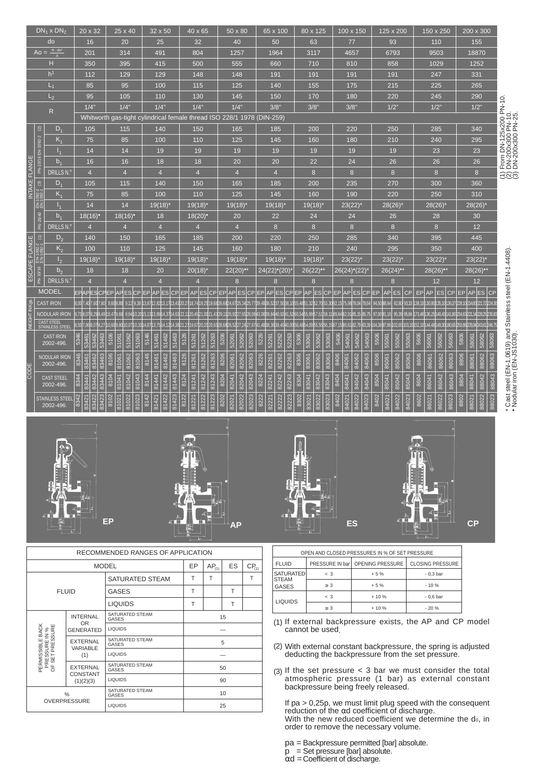|                |                                  | $DN_1 \times DN_2$               | 20 x 32                         | 25 x 40                         | 32 x 50                         | 40 x 65                         | 50 x 80                                                                | 65 x 100                        | 80 x 125                        | 100 x 150                                                                                                                                                 | 125 x 200                       | 150 x 250                                                          | 200 x 300                          |                                                                                         |
|----------------|----------------------------------|----------------------------------|---------------------------------|---------------------------------|---------------------------------|---------------------------------|------------------------------------------------------------------------|---------------------------------|---------------------------------|-----------------------------------------------------------------------------------------------------------------------------------------------------------|---------------------------------|--------------------------------------------------------------------|------------------------------------|-----------------------------------------------------------------------------------------|
|                |                                  | do                               | 16                              | 20                              | 25                              | 32                              | 40                                                                     | 50                              | 63                              | 77                                                                                                                                                        | 93                              | 110                                                                | 155                                |                                                                                         |
|                | $A_0 =$                          | $\pi$ . $\text{do}^2$            | 201                             | 314                             | 491                             | 804                             | 1257                                                                   | 1964                            | 3117                            | 4657                                                                                                                                                      | 6793                            | 9503                                                               | 18870                              |                                                                                         |
|                |                                  | н                                | 350                             | 395                             | 415                             | 500                             | 555                                                                    | 660                             | 710                             | 810                                                                                                                                                       | 858                             | 1029                                                               | 1252                               |                                                                                         |
|                |                                  | h <sup>1</sup>                   | 112                             | 129                             | 129                             | 148                             | 148                                                                    | 191                             | 191                             | 191                                                                                                                                                       | 191                             | 247                                                                | 331                                |                                                                                         |
|                |                                  | $L_1$                            | 85                              | 95                              | 100                             | 115                             | 125                                                                    | 140                             | 155                             | 175                                                                                                                                                       | 215                             | 225                                                                | 265                                |                                                                                         |
|                |                                  | $L_{2}$                          | 95                              | 105                             | 110                             | 130                             | 145                                                                    | 150                             | 170                             | 180                                                                                                                                                       | 220                             | 245                                                                | 290                                |                                                                                         |
|                |                                  | ${\sf R}$                        | 1/4"                            | 1/4"                            | 1/4"                            | 1/4"                            | 1/4"                                                                   | 3/8"                            | 3/8"                            | 3/8"                                                                                                                                                      | $1/2$ "                         | $1/2$ "                                                            | 1/2"                               | From DN-125x200 PN-10.<br>DN-200x300 PN-10.<br>DN-200x300 PN-25.                        |
|                |                                  |                                  |                                 |                                 |                                 |                                 | Whitworth gas-tight cylindrical female thread ISO 228/1 1978 (DIN-259) |                                 |                                 |                                                                                                                                                           |                                 |                                                                    |                                    |                                                                                         |
|                | $\widehat{\boldsymbol{\omega}}$  | $D_1$                            | 105                             | 115                             | 140                             | 150                             | 165                                                                    | 185                             | 200                             | 220                                                                                                                                                       | 250                             | 285                                                                | 340                                |                                                                                         |
|                | PN-10/16 EN-1092-2               | $K_1$                            | 75                              | 85                              | 100                             | 110                             | 125                                                                    | 145                             | 160                             | 180                                                                                                                                                       | 210                             | 240                                                                | 295                                |                                                                                         |
|                |                                  | $I_{1}$                          | 14                              | 14                              | 19                              | 19                              | 19                                                                     | 19                              | 19                              | 19                                                                                                                                                        | 19                              | 23                                                                 | 23                                 |                                                                                         |
|                |                                  | b <sub>1</sub>                   | 16                              | 16                              | 18                              | 18                              | 20                                                                     | 20                              | 22                              | 24                                                                                                                                                        | 26                              | 26                                                                 | 26                                 |                                                                                         |
| INTAKE FLANGE  |                                  | <b>DRILLS N.</b>                 | $\overline{4}$                  | $\overline{4}$                  | $\overline{4}$                  | $\overline{4}$                  | $\overline{4}$                                                         | $\overline{4}$                  | $\boldsymbol{8}$                | 8                                                                                                                                                         | 8                               | 8                                                                  | 8 <sup>°</sup>                     | ENO                                                                                     |
|                | $\widehat{\mathfrak{G}}$         | $D_4$                            | 105                             | 115                             | 140                             | 150                             | 165                                                                    | 185                             | 200                             | 235                                                                                                                                                       | 270                             | 300                                                                | 360                                |                                                                                         |
|                | EN-1092-2                        | $K_1$                            | 75                              | 85                              | 100                             | 110                             | 125                                                                    | 145                             | 160                             | 190                                                                                                                                                       | 220                             | 250                                                                | 310                                |                                                                                         |
|                |                                  | $I_{1}$                          | 14                              | 14                              | $19(18)^{*}$                    | $19(18)^{*}$                    | $19(18)^{*}$                                                           | $19(18)^{*}$                    | $19(18)^{*}$                    | $23(22)$ <sup>*</sup>                                                                                                                                     | $28(26)$ <sup>*</sup>           | $28(26)$ <sup>*</sup>                                              | $28(26)$ *                         |                                                                                         |
|                | PN-25/40                         | b <sub>1</sub>                   | $18(16)$ <sup>*</sup>           | $18(16)$ <sup>*</sup>           | 18                              | $18(20)$ <sup>*</sup>           | 20                                                                     | 22                              | 24                              | 24                                                                                                                                                        | 26                              | 28                                                                 | 30                                 |                                                                                         |
|                |                                  | DRILLS N.º                       | $\overline{4}$                  | $\overline{4}$                  | $\overline{4}$                  | $\overline{4}$                  | $\overline{4}$                                                         | 8                               | $\boldsymbol{8}$                | 8                                                                                                                                                         | 8                               | 8                                                                  | 12                                 |                                                                                         |
|                |                                  | $D_{2}$                          | 140                             | 150                             | 165                             | 185                             | 200                                                                    | 220                             | 250                             | 285                                                                                                                                                       | 340                             | 395                                                                | 445                                |                                                                                         |
| ESCAPE FLANGE  | $EN-1092-2$ (1)<br>EN-1092-1 (1) | K <sub>2</sub>                   | 100                             | 110                             | 125                             | 145                             | 160                                                                    | 180                             | 210                             | 240                                                                                                                                                       | 295                             | 350                                                                | 400                                |                                                                                         |
|                |                                  | I <sub>2</sub>                   | $19(18)^{4}$                    | 19(18)                          | $19(18)^{*}$                    | $19(18)^{*}$                    | $19(18)^{*}$                                                           | $19(18)^{*}$                    | 19(18)                          | $23(22)$ <sup>*</sup>                                                                                                                                     | $23(22)^{4}$                    | $23(22)$ <sup>*</sup>                                              | $23(22)$ <sup>*</sup>              |                                                                                         |
|                | PN-10/16                         | b <sub>2</sub>                   | 18                              | 18                              | 20                              | $20(18)^{*}$                    | $22(20)$ <sup>*</sup>                                                  | 24(22)°(20)                     | $26(22)$ <sup>*</sup>           | 26(24)°(22)                                                                                                                                               | $26(24)$ <sup>*</sup>           | $28(26)$ <sup>*</sup>                                              | $28(26)$ <sup>*</sup>              |                                                                                         |
|                |                                  | DRILLS N.º                       | $\overline{4}$                  | $\overline{4}$                  | $\overline{4}$                  | $\overline{4}$                  | 8                                                                      | 8                               | 8                               | 8                                                                                                                                                         | 8                               | 12                                                                 | 12                                 |                                                                                         |
|                |                                  | <b>MODEL</b>                     |                                 |                                 |                                 |                                 |                                                                        |                                 |                                 | EPAPESCPEP APES CP EP APES CP EP APES CP EP APES CP EP APES CP EP APES CP EP AP ES CP EP APES CP EP AP                                                    | Es  <br>lcP.                    | <b>AP ES</b><br>EP<br>CP                                           | EPAPESCP                           |                                                                                         |
| WEIGHT IN Kgs. |                                  | <b>CAST IRON</b>                 | 8,00 7,40 7,60 7,80             | 9.608.88                        |                                 |                                 |                                                                        |                                 |                                 | 9.12 9.38 h3.87h2.82h3.17h3.43l20.27h8.74h9.25h9.68l26.68l24.67l25.34l25.77l39.48l36.52l37.50l38.10l55.48l51.32l52.70l53.30l82.15l75.98l78.04178.64l      | 94.5088.64                      | 92.80 93.33 138.10 130.80 135.10 136.37 228.10 214.60 221.72 224.3 |                                    |                                                                                         |
|                |                                  | <b>NODULAR IRON</b>              | 8.738.078.298.49                | 10.479.68                       |                                 |                                 |                                                                        |                                 |                                 | 9.9410.2015.1313.9914.3714.63 22.11 20.45 21.00 21.43 29.11 26.9 227.65 28.08 43.08 39.84 40.9 2 41.5 2 60.54 55.99 57.51 58.11 89.64 82.91 85.15 85.15 1 | 97.0091.16                      | 95.39 95.84 173.48 136.25 140.43 141.80 234.63 221.14 228.25 230.8 |                                    |                                                                                         |
|                |                                  | CAST STEEL<br>STAINLESS STEEL    | 3.50                            | 10.07<br>10.33                  | 14.87                           |                                 |                                                                        |                                 |                                 | 13,75 14,12 14,38 21,27 19,67 20,20 20,63 28,68 26,52 27,24 27,67 41,48 38,36 39,40 40,00 58,48 54,09 55,55 56,15 87,15 80,61 82,79 83,39 104,38 97,86    |                                 | 102,65 103,10 152,10 144,48 149,30                                 | 180.651250.881235.941243.611246.75 |                                                                                         |
|                |                                  | <b>CAST IRON</b><br>2002-496.    | 53461<br>5346<br>53463          | 51061<br>51062<br>51063         | 5146<br>51462<br>51463<br>51461 | 5126<br>51261<br>51263<br>51262 | 5206<br>52062<br>52063<br>52061                                        | 5226<br>52261<br>52262<br>52263 | 5306<br>53062<br>53063<br>53061 | 5406<br>54062<br>54063<br>54061                                                                                                                           | 5506<br>55062<br>55063<br>55061 | 5606<br>56062<br>56063<br>56061                                    | 58063<br>5806<br>58062<br>58061    |                                                                                         |
|                |                                  |                                  |                                 |                                 |                                 |                                 |                                                                        |                                 |                                 |                                                                                                                                                           |                                 |                                                                    |                                    |                                                                                         |
|                |                                  | <b>NODULAR IRON</b><br>2002-496. | 83461<br>8346<br>83463          | 81062<br>8106<br>81061<br>81063 | 8146<br>81462<br>81463<br>81461 | 81261<br>8126<br>81263<br>81262 | 8206<br>82061<br>82062<br>82063                                        | 8226<br>82261<br>82262<br>82263 | 8306<br>83062<br>83063<br>83061 | 8406<br>84061<br>84062<br>84063                                                                                                                           | 8506<br>85063<br>85062<br>85061 | 8606<br>86062<br>86063<br>86061                                    | 88062<br>88063<br>8806<br>88061    |                                                                                         |
| CODE           |                                  |                                  |                                 |                                 |                                 |                                 |                                                                        |                                 |                                 |                                                                                                                                                           |                                 |                                                                    |                                    |                                                                                         |
|                |                                  | <b>CAST STEEL</b><br>2002-496.   | 83441<br>83443<br>83442<br>8344 | 81042<br>81041<br>81043<br>8104 | 81443<br>8144<br>81442<br>81441 | 81241<br>81243<br>8124<br>81242 | 82042<br>82043<br>8204<br>82041                                        | 82241<br>82242<br>8224<br>82243 | 83042<br>8304<br>83043<br>83041 | 84041<br>84042<br>84043<br>8404                                                                                                                           | 8504<br>85042<br>85041<br>85043 | 86042<br>86043<br>8604<br>86041                                    | 88042<br>88043<br>8804<br>88041    |                                                                                         |
|                |                                  | <b>STAINLESS STEEL</b>           |                                 |                                 |                                 |                                 |                                                                        |                                 |                                 |                                                                                                                                                           |                                 |                                                                    |                                    |                                                                                         |
|                |                                  | 2002-496.                        | 83423<br>8342<br>83421<br>3422  | 81021<br>81022<br>8102<br>81023 | 8142<br>81423<br>81421<br>81422 | 8122<br>81223<br>81221<br>81222 | 82023<br>8202<br>82022<br>32021                                        | 82221<br>8222<br>82222<br>82223 | 83022<br>8302<br>83023<br>83021 | 8402<br>84021<br>84022<br>84023                                                                                                                           | 8402<br>84022<br>84023<br>84021 | 8602<br>86022<br>86023<br>86021                                    | 8802<br>88022<br>88023<br>88021    | * Cast steel (EN-1.0619) and Stainless steel (EN-1.4408)<br>• Nodular iron (EN-JS1030). |
|                |                                  |                                  |                                 |                                 |                                 |                                 |                                                                        |                                 |                                 |                                                                                                                                                           |                                 |                                                                    |                                    |                                                                                         |









|                                                     | RECOMMENDED RANGES OF APPLICATION |                                 |    |            |    |            |  |  |  |  |  |
|-----------------------------------------------------|-----------------------------------|---------------------------------|----|------------|----|------------|--|--|--|--|--|
|                                                     |                                   | <b>MODEL</b>                    | EP | $AP_{(1)}$ | ES | $CP_{(1)}$ |  |  |  |  |  |
|                                                     |                                   | SATURATED STEAM                 | T  | T          |    | T          |  |  |  |  |  |
|                                                     | <b>FLUID</b>                      | <b>GASES</b>                    | T  |            | Т  |            |  |  |  |  |  |
|                                                     |                                   | T                               |    | T          |    |            |  |  |  |  |  |
|                                                     | <b>INTERNAL</b><br>OR.            | SATURATED STEAM<br>GASES        | 15 |            |    |            |  |  |  |  |  |
|                                                     | <b>GENERATED</b>                  | <b>LIQUIDS</b>                  |    |            |    |            |  |  |  |  |  |
| PERMISSIBLE BACK<br>PRESSURE IN %<br>F SET PRESSURE | <b>EXTERNAL</b><br>VARIABLE       | SATURATED STEAM<br>GASES        |    | 5          |    |            |  |  |  |  |  |
|                                                     | (1)                               | <b>LIQUIDS</b>                  |    |            |    |            |  |  |  |  |  |
| ŏ                                                   | <b>EXTERNAL</b>                   | SATURATED STEAM<br><b>GASES</b> |    |            | 50 |            |  |  |  |  |  |
|                                                     | <b>CONSTANT</b><br>(1)(2)(3)      | <b>LIQUIDS</b>                  |    |            | 90 |            |  |  |  |  |  |
|                                                     | $\%$                              | SATURATED STEAM<br>GASES        | 10 |            |    |            |  |  |  |  |  |
|                                                     | <b>OVERPRESSURE</b>               | <b>LIQUIDS</b>                  |    |            | 25 |            |  |  |  |  |  |

|                                  |          | OPEN AND CLOSED PRESSURES IN % OF SET PRESSURE |                         |  |  |
|----------------------------------|----------|------------------------------------------------|-------------------------|--|--|
| <b>FLUID</b>                     |          | PRESSURE IN bar   OPENING PRESSURE             | <b>CLOSING PRESSURE</b> |  |  |
| <b>SATURATED</b><br><b>STEAM</b> | $\leq$ 3 | $+5%$                                          | $-0.3bar$               |  |  |
| <b>GASES</b>                     | > 3      | $+5%$                                          | $-10%$                  |  |  |
| <b>LIQUIDS</b>                   | $\leq$ 3 | $+10%$                                         | $-0.6bar$               |  |  |
|                                  | > 3      | $+10%$                                         | $-20%$                  |  |  |

(1) If external backpressure exists, the AP and CP model cannot be used.

With external constant backpressure, the spring is adjusted deducting the backpressure from the set pressure. (2)

 $(3)$  If the set pressure < 3 bar we must consider the total atmospheric pressure (1 bar) as external constant backpressure being freely released.

If pa > 0,25p, we must limit plug speed with the consequent reduction of the αd coefficient of discharge. With the new reduced coefficient we determine the do, in order to remove the necessary volume. 

pa = Backpressure permitted [bar] absolute.

 $p =$  Set pressure [bar] absolute.

 $\alpha$ d = Coefficient of discharge.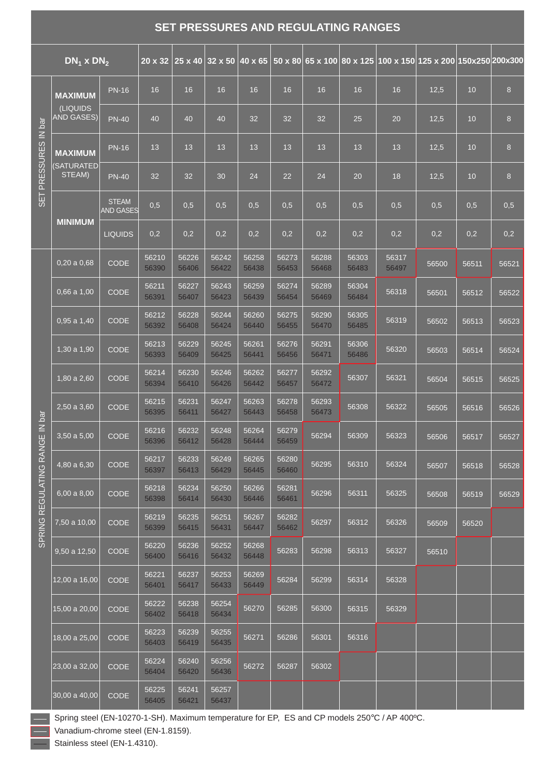# **SET PRESSURES AND REGULATING RANGES**

|                   | $DN_1$ x $DN_2$               |                                  | $20 \times 32$ | 25 x 40 32 x 50 |                | 40 x 65        |                |                |                |                | 50 x 80 65 x 100 80 x 125 100 x 150 125 x 200 150x250 200x300 |       |       |
|-------------------|-------------------------------|----------------------------------|----------------|-----------------|----------------|----------------|----------------|----------------|----------------|----------------|---------------------------------------------------------------|-------|-------|
|                   | <b>MAXIMUM</b>                | <b>PN-16</b>                     | 16             | 16              | 16             | 16             | 16             | 16             | 16             | 16             | 12,5                                                          | 10    | 8     |
|                   | (LIQUIDS<br><b>AND GASES)</b> | <b>PN-40</b>                     | 40             | 40              | 40             | 32             | 32             | 32             | 25             | 20             | 12,5                                                          | 10    | 8     |
| PRESSURES IN bar  | <b>MAXIMUM</b>                | <b>PN-16</b>                     | 13             | 13              | 13             | 13             | 13             | 13             | 13             | 13             | 12,5                                                          | 10    | 8     |
|                   | <b>(SATURATED)</b><br>STEAM)  | <b>PN-40</b>                     | 32             | 32              | 30             | 24             | 22             | 24             | 20             | 18             | 12,5                                                          | 10    | 8     |
| SET <sub></sub>   |                               | <b>STEAM</b><br><b>AND GASES</b> | 0,5            | 0,5             | 0,5            | 0,5            | 0,5            | 0,5            | 0,5            | 0,5            | 0,5                                                           | 0,5   | 0,5   |
|                   | <b>MINIMUM</b>                | <b>LIQUIDS</b>                   | 0,2            | 0,2             | 0,2            | 0,2            | 0,2            | 0,2            | 0,2            | 0,2            | 0,2                                                           | 0,2   | 0,2   |
|                   | 0,20a0,68                     | <b>CODE</b>                      | 56210<br>56390 | 56226<br>56406  | 56242<br>56422 | 56258<br>56438 | 56273<br>56453 | 56288<br>56468 | 56303<br>56483 | 56317<br>56497 | 56500                                                         | 56511 | 56521 |
|                   | 0,66a1,00                     | <b>CODE</b>                      | 56211<br>56391 | 56227<br>56407  | 56243<br>56423 | 56259<br>56439 | 56274<br>56454 | 56289<br>56469 | 56304<br>56484 | 56318          | 56501                                                         | 56512 | 56522 |
|                   | 0,95a1,40                     | <b>CODE</b>                      | 56212<br>56392 | 56228<br>56408  | 56244<br>56424 | 56260<br>56440 | 56275<br>56455 | 56290<br>56470 | 56305<br>56485 | 56319          | 56502                                                         | 56513 | 56523 |
|                   | 1,30a 1,90                    | <b>CODE</b>                      | 56213<br>56393 | 56229<br>56409  | 56245<br>56425 | 56261<br>56441 | 56276<br>56456 | 56291<br>56471 | 56306<br>56486 | 56320          | 56503                                                         | 56514 | 56524 |
|                   | 1,80 a 2,60                   | <b>CODE</b>                      | 56214<br>56394 | 56230<br>56410  | 56246<br>56426 | 56262<br>56442 | 56277<br>56457 | 56292<br>56472 | 56307          | 56321          | 56504                                                         | 56515 | 56525 |
|                   | 2,50 a 3,60                   | <b>CODE</b>                      | 56215<br>56395 | 56231<br>56411  | 56247<br>56427 | 56263<br>56443 | 56278<br>56458 | 56293<br>56473 | 56308          | 56322          | 56505                                                         | 56516 | 56526 |
| ANGE IN bar       | $3,50a$ 5,00                  | <b>CODE</b>                      | 56216<br>56396 | 56232<br>56412  | 56248<br>56428 | 56264<br>56444 | 56279<br>56459 | 56294          | 56309          | 56323          | 56506                                                         | 56517 | 56527 |
| $\alpha$          | 4,80 a 6,30                   | <b>CODE</b>                      | 56217<br>56397 | 56233<br>56413  | 56249<br>56429 | 56265<br>56445 | 56280<br>56460 | 56295          | 56310          | 56324          | 56507                                                         | 56518 | 56528 |
| <b>REGULATING</b> | 6,00a8,00                     | <b>CODE</b>                      | 56218<br>56398 | 56234<br>56414  | 56250<br>56430 | 56266<br>56446 | 56281<br>56461 | 56296          | 56311          | 56325          | 56508                                                         | 56519 | 56529 |
| PRING             | 7,50 a 10,00                  | <b>CODE</b>                      | 56219<br>56399 | 56235<br>56415  | 56251<br>56431 | 56267<br>56447 | 56282<br>56462 | 56297          | 56312          | 56326          | 56509                                                         | 56520 |       |
| $\overline{0}$    | 9,50 a 12,50                  | <b>CODE</b>                      | 56220<br>56400 | 56236<br>56416  | 56252<br>56432 | 56268<br>56448 | 56283          | 56298          | 56313          | 56327          | 56510                                                         |       |       |
|                   | 12,00 a 16,00                 | <b>CODE</b>                      | 56221<br>56401 | 56237<br>56417  | 56253<br>56433 | 56269<br>56449 | 56284          | 56299          | 56314          | 56328          |                                                               |       |       |
|                   | 15,00 a 20,00                 | <b>CODE</b>                      | 56222<br>56402 | 56238<br>56418  | 56254<br>56434 | 56270          | 56285          | 56300          | 56315          | 56329          |                                                               |       |       |
|                   | 18,00 a 25,00                 | <b>CODE</b>                      | 56223<br>56403 | 56239<br>56419  | 56255<br>56435 | 56271          | 56286          | 56301          | 56316          |                |                                                               |       |       |
|                   | 23,00 a 32,00                 | <b>CODE</b>                      | 56224<br>56404 | 56240<br>56420  | 56256<br>56436 | 56272          | 56287          | 56302          |                |                |                                                               |       |       |
|                   | $ 30,00$ a $40,00 $           | <b>CODE</b>                      | 56225<br>56405 | 56241<br>56421  | 56257<br>56437 |                |                |                |                |                |                                                               |       |       |

Spring steel (EN-10270-1-SH). Maximum temperature for EP, ES and CP models 250°C / AP 400ºC.

Vanadium-chrome steel (EN-1.8159).

Stainless steel (EN-1.4310).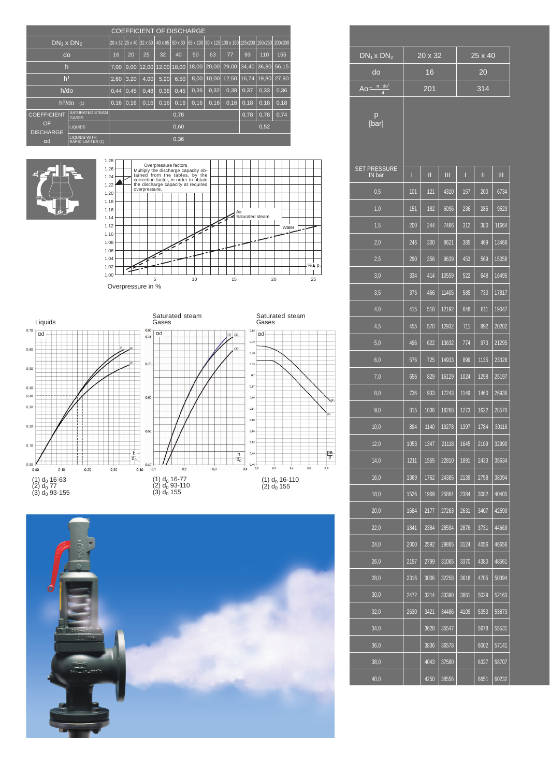|                        |                                          |      |             |                         |      |       | <b>COEFFICIENT OF DISCHARGE</b> |      |                                                                     |                   |      |                       |
|------------------------|------------------------------------------|------|-------------|-------------------------|------|-------|---------------------------------|------|---------------------------------------------------------------------|-------------------|------|-----------------------|
| $DN_1 \times DN_2$     |                                          |      |             | 20 x 32 25 x 40 32 x 50 |      |       |                                 |      | 40 x 65 50 x 80 65 x 100 80 x 125 100 x 150 125x200 150x250 200x300 |                   |      |                       |
| do                     |                                          | 16   | 20          | 25                      | 32   | 40    | 50                              | 63   | 77                                                                  | 93                | 110  | 155                   |
| h                      |                                          | 7.00 |             |                         |      |       |                                 |      | 9,00  12,00  12,00  18,00   18,00   2 <u>0,00   29,00</u>           | 34,40 36,80 56,15 |      |                       |
| h <sup>1</sup>         |                                          | 2.60 | 3.20        | 4.00                    | 5,20 | 6,50  |                                 |      | 8,00 10,00 12,50                                                    |                   |      | 16,74   19,80   27,90 |
| $h$ /do                |                                          | 0,44 | 0,45        | 0,48                    | 0,38 | 0,45  | 0,36                            | 0,32 | 0.38                                                                | 0.37              | 0.33 | 0.36                  |
|                        | $h^{1}/do$ (1)                           |      | $0,16$ 0.16 | 0,16                    | 0,16 | 0, 16 | 0,16                            | 0,16 | 0,16                                                                | 0,18              | 0,18 | 0,18                  |
| <b>COEFFICIENT</b>     | SATURATED STEAM<br><b>GASES</b>          |      |             |                         |      | 0,78  |                                 |      |                                                                     | 0.78              | 0,78 | 0,74                  |
| OF<br><b>DISCHARGE</b> | LIQUIDS                                  |      |             |                         |      | 0,60  |                                 |      |                                                                     |                   | 0,52 |                       |
| $\alpha$ d             | <b>LIQUIDS WITH</b><br>RAPID LIMITER (1) |      |             |                         |      | 0,36  |                                 |      |                                                                     |                   |      |                       |







|                | $DN_1x DN_2$                  |      | $20 \times 32$ |       |      | 25 x 40 |       |
|----------------|-------------------------------|------|----------------|-------|------|---------|-------|
|                | do                            |      | 16             |       |      | 20      |       |
|                | $Ao = \pi \cdot do^2$         |      | 201            |       |      | 314     |       |
|                | р<br>[bar]                    |      |                |       |      |         |       |
|                | <b>SET PRESSURE</b><br>IN bar | L    | Ш              | Ш     | ı    | Ш       | Ш     |
|                | 0,5                           | 101  | 121            | 4310  | 157  | 200     | 6734  |
|                | 1,0                           | 151  | 182            | 6096  | 236  | 285     | 9523  |
|                | 1,5                           | 200  | 244            | 7466  | 312  | 380     | 11664 |
|                | 2,0                           | 246  | 300            | 8621  | 385  | 469     | 13468 |
| Аp             | 2,5                           | 290  | 356            | 9639  | 453  | 569     | 15058 |
| 25             | 3,0                           | 334  | 414            | 10559 | 522  | 648     | 16495 |
|                | 3,5                           | 375  | 466            | 11405 | 585  | 730     | 17817 |
|                | 4,0                           | 415  | 518            | 12192 | 648  | 811     | 19047 |
|                | 4,5                           | 455  | 570            | 12932 | 711  | 892     | 20202 |
|                | 5,0                           | 496  | 622            | 13632 | 774  | 973     | 21295 |
|                | 6,0                           | 576  | 725            | 14933 | 899  | 1135    | 23328 |
|                | 7,0                           | 656  | 829            | 16129 | 1024 | 1298    | 25197 |
| $\sqrt{a}$     | 8,0                           | 736  | 933            | 17243 | 1149 | 1460    | 26936 |
| (2)            | 9,0                           | 815  | 1036           | 18288 | 1273 | 1622    | 28570 |
|                | 10,0                          | 894  | 1140           | 19278 | 1397 | 1784    | 30116 |
|                | 12,0                          | 1053 | 1347           | 21118 | 1645 | 2109    | 32990 |
| μa<br>p<br>0,6 | 14,0                          | 1211 | 1555           | 22810 | 1891 | 2433    | 35634 |
|                | 16,0                          | 1369 | 1762           | 24385 | 2139 | 2758    | 38094 |
|                | 18,0                          | 1526 | 1969           | 25864 | 2384 | 3082    | 40405 |
|                | 20,0                          | 1684 | 2177           | 27263 | 2631 | 3407    | 42590 |
|                | 22,0                          | 1841 | 2384           | 28594 | 2876 | 3731    | 44669 |
|                | 24,0                          | 2000 | 2592           | 29865 | 3124 | 4056    | 46656 |
|                | 26,0                          | 2157 | 2799           | 31085 | 3370 | 4380    | 48561 |
|                | 28,0                          | 2316 | 3006           | 32258 | 3618 | 4705    | 50394 |
|                | 30,0                          | 2472 | 3214           | 33390 | 3861 | 5029    | 52163 |
|                | 32,0                          | 2630 | 3421           | 34486 | 4109 | 5353    | 53873 |
|                | 34,0                          |      | 3628           | 35547 |      | 5678    | 55531 |
|                | 36,0                          |      | 3836           | 36578 |      | 6002    | 57141 |

40,0

4043

37580

38556

6651

58707

60232

4250



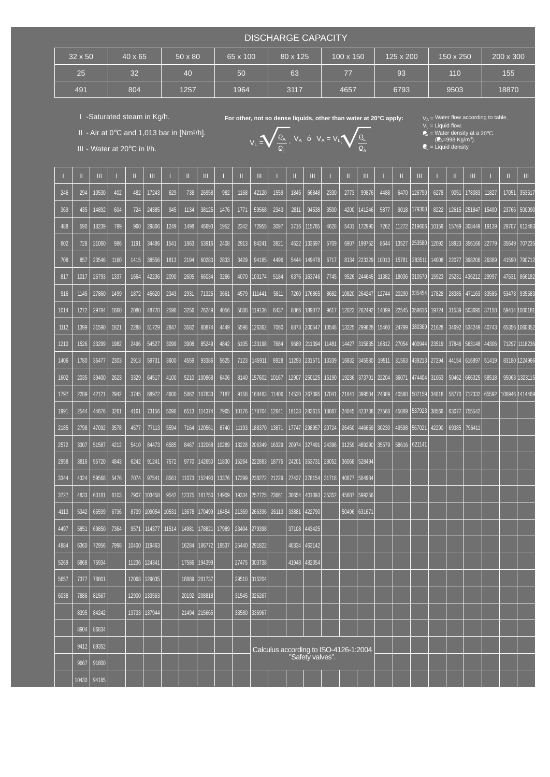## DISCHARGE CAPACITY

| $32 \times 50$ | $40 \times 65$ | 50 x 80 | 65 x 100 | 80 x 125 | 100 x 150 | 125 x 200 | 150 x 250 | 200 x 300 |
|----------------|----------------|---------|----------|----------|-----------|-----------|-----------|-----------|
| 25             | 32             | 40      | 50       | 63       | 77        | 93        | 110       | 155       |
| 491            | 804            | 1257    | 1964     | 3117     | 4657      | 6793      | 9503      | 18870     |

L

I -Saturated steam in Kg/h.

III - Water at 20°C in l/h.

II - Air at 0 $\degree$ C and 1,013 bar in [Nm $\degree$ /h].

For other, not so dense liquids, other than water at 20°C apply:

.  $V_A$  ó  $V_A = V_L \sqrt{Q_L}$ 

A

 $V_L$  = Liquid flow.<br> $Q_A$  = Water density at a 20°C.

 $(Q_A=998 \text{ Kg/m}^3)$  $V_L = \bigvee_{i=1}^{k} \frac{k_A}{2}$ .  $V_A$  o  $V_A = V_L$ .  $\bigvee_{i=1}^{k} \frac{k_L}{2}$  (e<sub>n=998</sub> kg/m<sup>3</sup>).

 $\mathbb{Z}_L$  = Liquid density.

|      | Ш     | Ш     |      |       | Ш      |       |       | Ш            |       |       | Ш            |       | Ш     | Ш                                     |       |       | Ш      |       | Ш     | Ш      |       |       | Ш              |       | Ш     | Ш               |
|------|-------|-------|------|-------|--------|-------|-------|--------------|-------|-------|--------------|-------|-------|---------------------------------------|-------|-------|--------|-------|-------|--------|-------|-------|----------------|-------|-------|-----------------|
| 246  | 294   | 10530 | 402  | 482   | 17243  | 629   | 738   | 26958        | 982   | 1168  | 42120        | 1559  | 1845  | 66848                                 | 2330  | 2773  | 99876  | 4488  | 6470  | 126790 | 6278  | 9051  | 178083         | 11827 | 17051 | 353617          |
| 369  | 435   | 4892  | 604  | 724   | 24385  | 945   | 1134  | 38125        | 1476  | 1771  | 59568        | 2343  | 2811  | 94538                                 | 3500  | 4200  | 141246 | 5877  | 9018  | 179308 | 8222  |       | 12615   251847 | 15490 | 23766 | 500090          |
| 488  | 590   | 18239 | 799  | 960   | 29866  | 1249  | 1498  | 46693        | 1952  | 2342  | 72955        | 3097  | 3716  | 115785                                | 4628  | 5431  | 172990 | 7262  | 11272 | 219606 | 10159 | 15769 | 308449         | 19139 | 29707 | 612483          |
| 602  | 728   | 21060 | 986  | 1191  | 34486  | 1541  | 1863  | 53916        | 2408  | 2913  | 84241        | 3821  | 4622  | 33697                                 | 5709  | 6907  | 199752 | 8644  | 13527 | 253580 | 12092 | 18923 | 356166         | 22779 | 35649 | 707235          |
| 708  | 857   | 23546 | 1160 | 1415  | 38556  | 1813  | 2194  | 60280        | 2833  | 3429  | 94185        | 4496  | 5444  | 149478                                | 6717  | 8134  | 223329 | 10013 | 15781 | 283511 | 14008 | 22077 | 398206         | 26389 | 41590 | 790712          |
| 817  | 1017  | 25793 | 1337 | 1664  | 42236  | 2090  | 2605  | 66034        | 3266  | 4070  | 103174       | 5184  | 6376  | 163746                                | 7745  | 9526  | 244645 | 11382 | 18036 | 310570 | 15923 | 25231 | 436212         | 29997 | 47531 | 866182          |
| 916  | 1145  | 27860 | 1499 | 1872  | 45620  | 2343  | 2931  | 71325        | 3661  | 4579  | 111441       | 5811  | 7260  | 176865                                | 8682  | 10820 | 264247 | 12744 | 20290 | 335454 | 17828 | 28385 | 471163         | 33585 | 53473 | 935583          |
| 1014 | 1272  | 29784 | 1660 | 2080  | 48770  | 2596  | 3256  | 76249        | 4056  | 5088  | 119136       | 6437  | 8066  | 189077                                | 9617  | 12023 | 282492 | 14099 | 22545 | 358616 | 19724 | 31539 | 503695         | 37158 |       | 59414 100018    |
| 1112 | 1399  | 31590 | 1821 | 2288  | 51729  | 2847  | 3582  | 80874        | 4449  | 5596  | 126362       | 7060  | 8873  | 200547                                | 10548 | 13225 | 299628 | 15460 | 24799 | 380369 | 21628 | 34692 | 534249         | 40743 |       | 65356 1060852   |
| 1210 | 1526  | 33299 | 1982 | 2496  | 54527  | 3099  | 3908  | 85249        | 4842  | 6105  | 133198       | 7684  | 9680  | 211394                                | 11481 | 14427 | 315835 | 16812 | 27054 | 400944 | 23519 |       | 37846 563148   | 44306 |       | 71297 1118236   |
| 1406 | 1780  | 36477 | 2303 | 2913  | 59731  | 3600  | 4559  | 93386        | 5625  | 7123  | 145911       | 8928  | 11293 | 231571                                | 13339 | 16832 | 345980 | 19511 | 31563 | 439213 | 27294 | 44154 | 616897         | 51419 |       | 83180 1224966   |
| 1602 | 2035  | 39400 | 2623 | 3329  | 64517  | 4100  | 5210  | 100868       | 6406  | 8140  | 157602       | 10167 | 12907 | 250125                                | 15190 | 19236 | 373701 | 22204 | 36071 | 474404 | 31063 | 50462 | 666325         | 58518 |       | 95063 1323115   |
| 1797 | 2289  | 42121 | 2942 | 3745  | 68972  | 4600  | 5862  | 107833       | 7187  | 9158  | 168483       | 11406 | 14520 | 267395                                | 17041 | 21641 | 399504 | 24889 | 40580 | 507159 | 34818 | 56770 | 712332         | 65592 |       | 106946  1414469 |
| 1991 | 2544  | 44676 | 3261 | 4161  | 73156  | 5098  | 6513  | 114374       | 7965  | 10176 | 178704       | 12641 | 16133 | 283615                                | 18887 | 24045 | 423738 | 27568 | 45089 | 537923 | 38566 | 63077 | 755542         |       |       |                 |
| 2185 | 2798  | 47092 | 3578 | 4577  | 77113  | 5594  | 7164  | 120561       | 8740  | 11193 | 188370       | 13871 | 17747 | 298957                                | 20724 | 26450 | 446659 | 30230 | 49598 | 567021 | 42290 | 69385 | 796411         |       |       |                 |
| 2572 | 3307  | 51587 | 4212 | 5410  | 84473  | 6585  | 8467  | 132068       | 10289 | 13228 | 206349       | 16329 | 20974 | 327491                                | 24396 | 31259 | 489290 | 35579 | 58616 | 621141 |       |       |                |       |       |                 |
| 2958 | 3816  | 55720 | 4843 | 6242  | 91241  | 7572  | 9770  | 142650       | 11830 | 15264 | 222883       | 18775 | 24201 | 353731                                | 28052 | 36068 | 528494 |       |       |        |       |       |                |       |       |                 |
| 3344 | 4324  | 59568 | 5476 | 7074  | 97541  | 8561  | 11073 | 152490       | 13376 | 17299 | 238272       | 21229 | 27427 | 378154                                | 31718 | 40877 | 564984 |       |       |        |       |       |                |       |       |                 |
| 3727 | 4833  | 63181 | 6103 | 7907  | 103458 | 9542  | 12375 | 161750       | 14909 | 19334 | 252725       | 23661 | 30654 | 401093                                | 35352 | 45687 | 599256 |       |       |        |       |       |                |       |       |                 |
| 4113 | 5342  | 66599 | 6736 | 8739  | 109054 | 10531 | 13678 | 170499       | 16454 | 21369 | 266396       | 26113 | 33881 | 422790                                |       | 50496 | 631671 |       |       |        |       |       |                |       |       |                 |
| 4497 | 5851  | 69850 | 7364 | 9571  | 114377 | 11514 | 14981 | 178821       | 17989 | 23404 | 279398       |       | 37108 | 443425                                |       |       |        |       |       |        |       |       |                |       |       |                 |
| 4884 | 6360  | 72956 | 7998 | 10400 | 119463 |       | 16284 | 186772       | 19537 | 25440 | 291822       |       | 40334 | 463142                                |       |       |        |       |       |        |       |       |                |       |       |                 |
| 5269 | 6868  | 75934 |      | 11236 | 124341 |       | 17586 | 194399       |       | 27475 | 303738       |       | 41948 | 482054                                |       |       |        |       |       |        |       |       |                |       |       |                 |
| 5657 | 7377  | 78801 |      | 12068 | 129035 |       | 18889 | 201737       |       |       | 29510 315204 |       |       |                                       |       |       |        |       |       |        |       |       |                |       |       |                 |
| 6038 | 7886  | 81567 |      | 12900 | 133563 |       |       | 20192 208818 |       |       | 31545 326267 |       |       |                                       |       |       |        |       |       |        |       |       |                |       |       |                 |
|      | 8395  | 84242 |      | 13733 | 137944 |       |       | 21494 215665 |       |       | 33580 336967 |       |       |                                       |       |       |        |       |       |        |       |       |                |       |       |                 |
|      | 8904  | 86834 |      |       |        |       |       |              |       |       |              |       |       |                                       |       |       |        |       |       |        |       |       |                |       |       |                 |
|      | 9412  | 89352 |      |       |        |       |       |              |       |       |              |       |       | Calculus according to ISO-4126-1:2004 |       |       |        |       |       |        |       |       |                |       |       |                 |
|      | 9667  | 91800 |      |       |        |       |       |              |       |       |              |       |       | "Safety valves".                      |       |       |        |       |       |        |       |       |                |       |       |                 |
|      | 10430 | 94185 |      |       |        |       |       |              |       |       |              |       |       |                                       |       |       |        |       |       |        |       |       |                |       |       |                 |